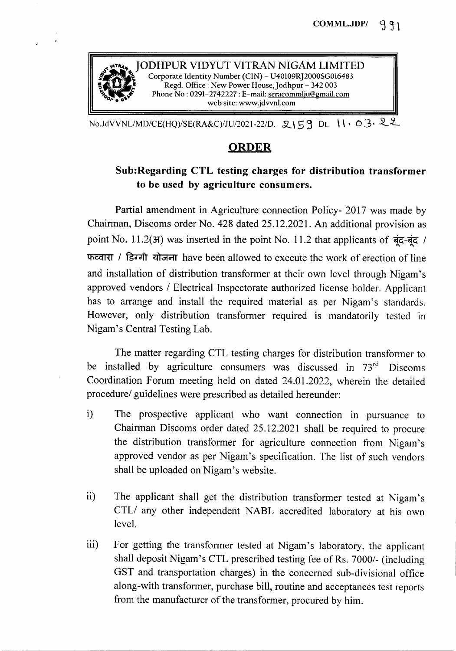

No.JdVVNL/MD/CE(HQ)/SE(RA&C)/JU/2021-22/D. 2159 Dt. 11.03.22

## ORDER

## Sub:Regarding CTL testing charges for distribution transformer to be used by agriculture consumers.

Partial amendment in Agriculture connection Policy- 2017 was made by Chairman, Discoms order No. 428 dated 25.12.2021. An additional provision as point No. 11.2( $\text{H}$ ) was inserted in the point No. 11.2 that applicants of  $\frac{1}{\overline{q}}$  /  $\pi$   $\sim$  1  $\pi$   $\sim$  1  $\pi$  and  $\pi$  have been allowed to execute the work of erection of line and installation of distribution transformer at their own level through Nigam's approved vendors *1* Electrical Inspectorate authorized license holder. Applicant has to arrange and install the required material as per Nigam's standards. However, only distribution transformer required is mandatorily tested in Nigam's Central Testing Lab.

The matter regarding CTL testing charges for distribution transformer to be installed by agriculture consumers was discussed in 73<sup>rd</sup> Discoms Coordination Forum meeting held on dated 24.01.2022, wherein the detailed *procedurel* guidelines were prescribed as detailed hereunder:

- i) The prospective applicant who want connection in pursuance to Chairman Discoms order dated 25.12.2021 shall be required to procure the distribution transformer for agriculture connection from Nigam's approved vendor as per Nigam's specification. The list of such vendors shall be uploaded on Nigam's website.
- ii) The applicant shall get the distribution transformer tested at Nigam's *CTLI* any other independent NABL accredited laboratory at his own level.
- iii) For getting the transformer tested at Nigam's laboratory, the applicant shall deposit Nigam's CTL prescribed testing fee of Rs. 7000/- (including GST and transportation charges) in the concerned sub-divisional office along-with transformer, purchase bill, routine and acceptances test reports from the manufacturer of the transformer, procured by him.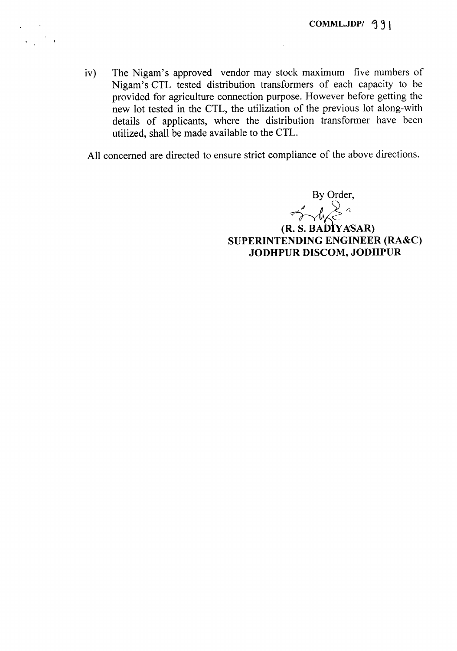iv) The Nigam's approved vendor may stock maximum five numbers of Nigam's CTL tested distribution transformers of each capacity to be provided for agriculture connection purpose. However before getting the new lot tested in the CTL, the utilization of the previous lot along-with details of applicants, where the distribution transformer have been utilized, shall be made available to the CTL.

All concerned are directed to ensure strict compliance of the above directions.

By Order,

 $\int^{\infty}_{0}dx$ (R. S. BADTY ASAR) SUPERINTENDING ENGINEER (RA&C) JODHPUR DISCOM, JODHPUR